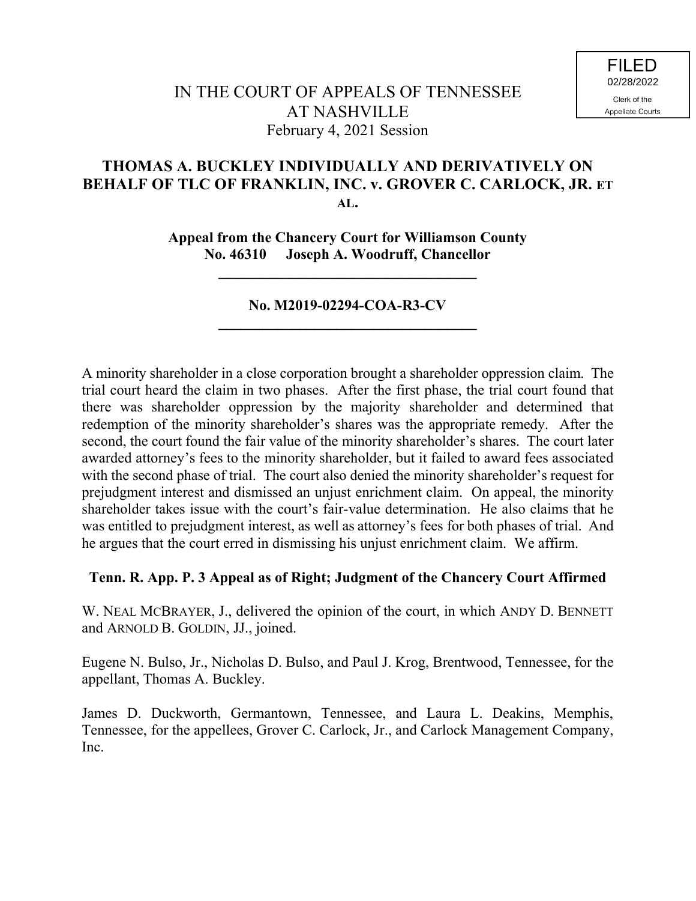# **THOMAS A. BUCKLEY INDIVIDUALLY AND DERIVATIVELY ON BEHALF OF TLC OF FRANKLIN, INC. v. GROVER C. CARLOCK, JR. ET AL.**

**Appeal from the Chancery Court for Williamson County No. 46310 Joseph A. Woodruff, Chancellor**

**\_\_\_\_\_\_\_\_\_\_\_\_\_\_\_\_\_\_\_\_\_\_\_\_\_\_\_\_\_\_\_\_\_\_\_**

# **No. M2019-02294-COA-R3-CV \_\_\_\_\_\_\_\_\_\_\_\_\_\_\_\_\_\_\_\_\_\_\_\_\_\_\_\_\_\_\_\_\_\_\_**

A minority shareholder in a close corporation brought a shareholder oppression claim. The trial court heard the claim in two phases. After the first phase, the trial court found that there was shareholder oppression by the majority shareholder and determined that redemption of the minority shareholder's shares was the appropriate remedy. After the second, the court found the fair value of the minority shareholder's shares. The court later awarded attorney's fees to the minority shareholder, but it failed to award fees associated with the second phase of trial. The court also denied the minority shareholder's request for prejudgment interest and dismissed an unjust enrichment claim. On appeal, the minority shareholder takes issue with the court's fair-value determination. He also claims that he was entitled to prejudgment interest, as well as attorney's fees for both phases of trial. And he argues that the court erred in dismissing his unjust enrichment claim. We affirm.

## **Tenn. R. App. P. 3 Appeal as of Right; Judgment of the Chancery Court Affirmed**

W. NEAL MCBRAYER, J., delivered the opinion of the court, in which ANDY D. BENNETT and ARNOLD B. GOLDIN, JJ., joined.

Eugene N. Bulso, Jr., Nicholas D. Bulso, and Paul J. Krog, Brentwood, Tennessee, for the appellant, Thomas A. Buckley.

James D. Duckworth, Germantown, Tennessee, and Laura L. Deakins, Memphis, Tennessee, for the appellees, Grover C. Carlock, Jr., and Carlock Management Company, Inc.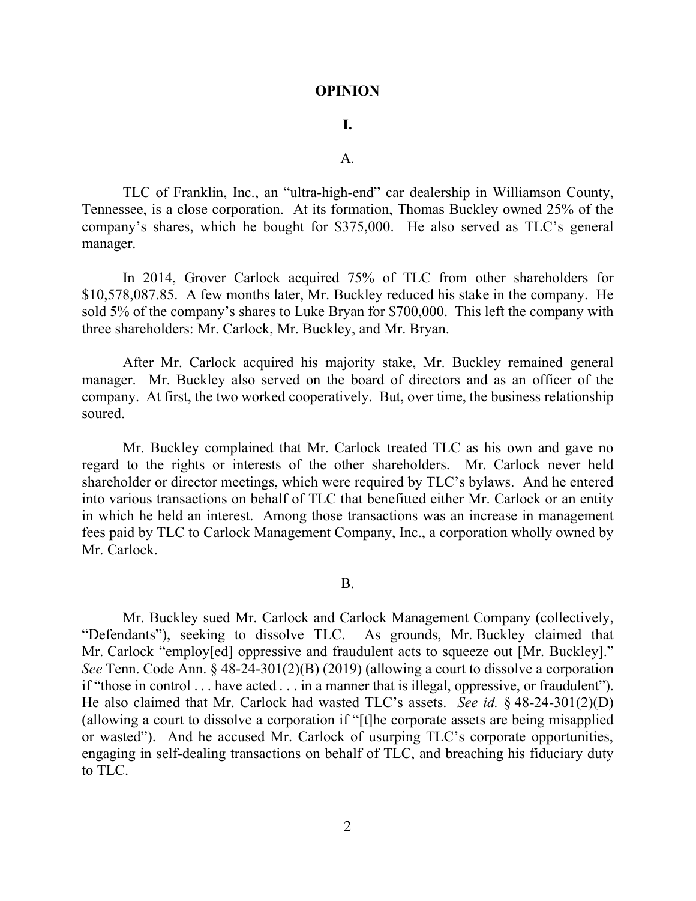#### **OPINION**

## **I.**

## $\mathbf{A}$ .

TLC of Franklin, Inc., an "ultra-high-end" car dealership in Williamson County, Tennessee, is a close corporation. At its formation, Thomas Buckley owned 25% of the company's shares, which he bought for \$375,000. He also served as TLC's general manager.

In 2014, Grover Carlock acquired 75% of TLC from other shareholders for \$10,578,087.85. A few months later, Mr. Buckley reduced his stake in the company. He sold 5% of the company's shares to Luke Bryan for \$700,000. This left the company with three shareholders: Mr. Carlock, Mr. Buckley, and Mr. Bryan.

After Mr. Carlock acquired his majority stake, Mr. Buckley remained general manager. Mr. Buckley also served on the board of directors and as an officer of the company. At first, the two worked cooperatively. But, over time, the business relationship soured.

Mr. Buckley complained that Mr. Carlock treated TLC as his own and gave no regard to the rights or interests of the other shareholders. Mr. Carlock never held shareholder or director meetings, which were required by TLC's bylaws. And he entered into various transactions on behalf of TLC that benefitted either Mr. Carlock or an entity in which he held an interest. Among those transactions was an increase in management fees paid by TLC to Carlock Management Company, Inc., a corporation wholly owned by Mr. Carlock.

## B.

Mr. Buckley sued Mr. Carlock and Carlock Management Company (collectively, "Defendants"), seeking to dissolve TLC. As grounds, Mr. Buckley claimed that Mr. Carlock "employ[ed] oppressive and fraudulent acts to squeeze out [Mr. Buckley]." *See* Tenn. Code Ann. § 48-24-301(2)(B) (2019) (allowing a court to dissolve a corporation if "those in control . . . have acted . . . in a manner that is illegal, oppressive, or fraudulent"). He also claimed that Mr. Carlock had wasted TLC's assets. *See id.* § 48-24-301(2)(D) (allowing a court to dissolve a corporation if "[t]he corporate assets are being misapplied or wasted"). And he accused Mr. Carlock of usurping TLC's corporate opportunities, engaging in self-dealing transactions on behalf of TLC, and breaching his fiduciary duty to TLC.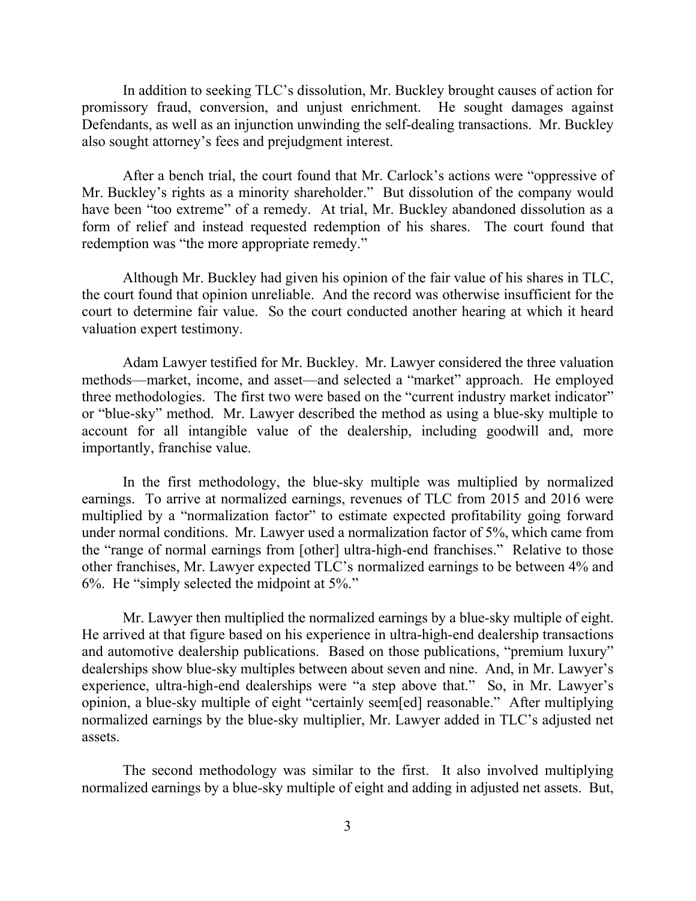In addition to seeking TLC's dissolution, Mr. Buckley brought causes of action for promissory fraud, conversion, and unjust enrichment. He sought damages against Defendants, as well as an injunction unwinding the self-dealing transactions. Mr. Buckley also sought attorney's fees and prejudgment interest.

After a bench trial, the court found that Mr. Carlock's actions were "oppressive of Mr. Buckley's rights as a minority shareholder." But dissolution of the company would have been "too extreme" of a remedy. At trial, Mr. Buckley abandoned dissolution as a form of relief and instead requested redemption of his shares. The court found that redemption was "the more appropriate remedy."

Although Mr. Buckley had given his opinion of the fair value of his shares in TLC, the court found that opinion unreliable. And the record was otherwise insufficient for the court to determine fair value. So the court conducted another hearing at which it heard valuation expert testimony.

Adam Lawyer testified for Mr. Buckley. Mr. Lawyer considered the three valuation methods—market, income, and asset—and selected a "market" approach. He employed three methodologies. The first two were based on the "current industry market indicator" or "blue-sky" method. Mr. Lawyer described the method as using a blue-sky multiple to account for all intangible value of the dealership, including goodwill and, more importantly, franchise value.

In the first methodology, the blue-sky multiple was multiplied by normalized earnings. To arrive at normalized earnings, revenues of TLC from 2015 and 2016 were multiplied by a "normalization factor" to estimate expected profitability going forward under normal conditions. Mr. Lawyer used a normalization factor of 5%, which came from the "range of normal earnings from [other] ultra-high-end franchises." Relative to those other franchises, Mr. Lawyer expected TLC's normalized earnings to be between 4% and 6%. He "simply selected the midpoint at 5%."

Mr. Lawyer then multiplied the normalized earnings by a blue-sky multiple of eight. He arrived at that figure based on his experience in ultra-high-end dealership transactions and automotive dealership publications. Based on those publications, "premium luxury" dealerships show blue-sky multiples between about seven and nine. And, in Mr. Lawyer's experience, ultra-high-end dealerships were "a step above that." So, in Mr. Lawyer's opinion, a blue-sky multiple of eight "certainly seem[ed] reasonable." After multiplying normalized earnings by the blue-sky multiplier, Mr. Lawyer added in TLC's adjusted net assets.

The second methodology was similar to the first. It also involved multiplying normalized earnings by a blue-sky multiple of eight and adding in adjusted net assets. But,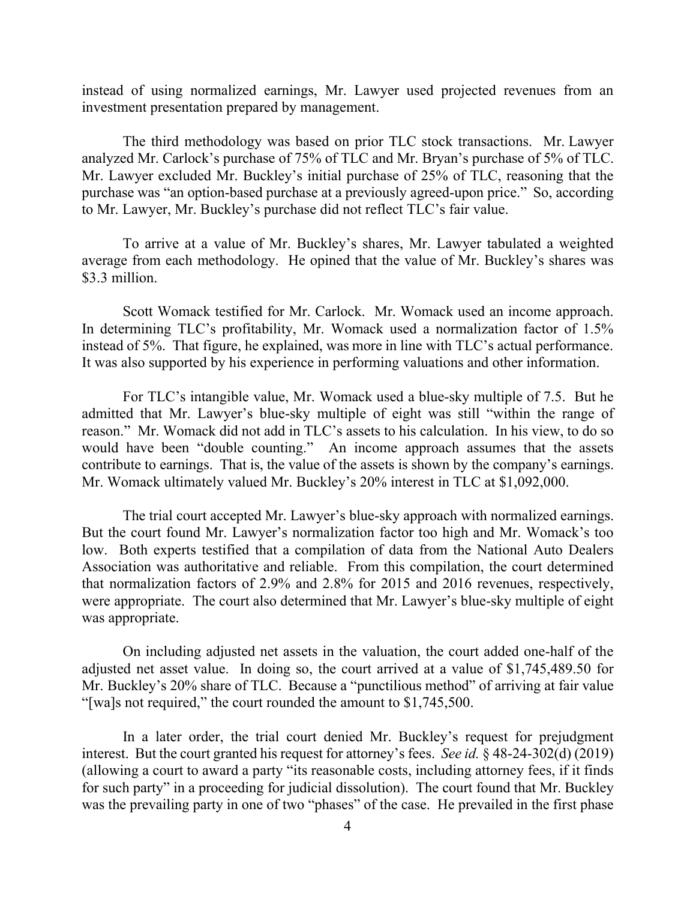instead of using normalized earnings, Mr. Lawyer used projected revenues from an investment presentation prepared by management.

The third methodology was based on prior TLC stock transactions. Mr. Lawyer analyzed Mr. Carlock's purchase of 75% of TLC and Mr. Bryan's purchase of 5% of TLC. Mr. Lawyer excluded Mr. Buckley's initial purchase of 25% of TLC, reasoning that the purchase was "an option-based purchase at a previously agreed-upon price." So, according to Mr. Lawyer, Mr. Buckley's purchase did not reflect TLC's fair value.

To arrive at a value of Mr. Buckley's shares, Mr. Lawyer tabulated a weighted average from each methodology. He opined that the value of Mr. Buckley's shares was \$3.3 million.

Scott Womack testified for Mr. Carlock. Mr. Womack used an income approach. In determining TLC's profitability, Mr. Womack used a normalization factor of 1.5% instead of 5%. That figure, he explained, was more in line with TLC's actual performance. It was also supported by his experience in performing valuations and other information.

For TLC's intangible value, Mr. Womack used a blue-sky multiple of 7.5. But he admitted that Mr. Lawyer's blue-sky multiple of eight was still "within the range of reason." Mr. Womack did not add in TLC's assets to his calculation. In his view, to do so would have been "double counting." An income approach assumes that the assets contribute to earnings. That is, the value of the assets is shown by the company's earnings. Mr. Womack ultimately valued Mr. Buckley's 20% interest in TLC at \$1,092,000.

The trial court accepted Mr. Lawyer's blue-sky approach with normalized earnings. But the court found Mr. Lawyer's normalization factor too high and Mr. Womack's too low. Both experts testified that a compilation of data from the National Auto Dealers Association was authoritative and reliable. From this compilation, the court determined that normalization factors of 2.9% and 2.8% for 2015 and 2016 revenues, respectively, were appropriate. The court also determined that Mr. Lawyer's blue-sky multiple of eight was appropriate.

On including adjusted net assets in the valuation, the court added one-half of the adjusted net asset value. In doing so, the court arrived at a value of \$1,745,489.50 for Mr. Buckley's 20% share of TLC. Because a "punctilious method" of arriving at fair value "[wa]s not required," the court rounded the amount to \$1,745,500.

In a later order, the trial court denied Mr. Buckley's request for prejudgment interest. But the court granted his request for attorney's fees. *See id.* § 48-24-302(d) (2019) (allowing a court to award a party "its reasonable costs, including attorney fees, if it finds for such party" in a proceeding for judicial dissolution). The court found that Mr. Buckley was the prevailing party in one of two "phases" of the case. He prevailed in the first phase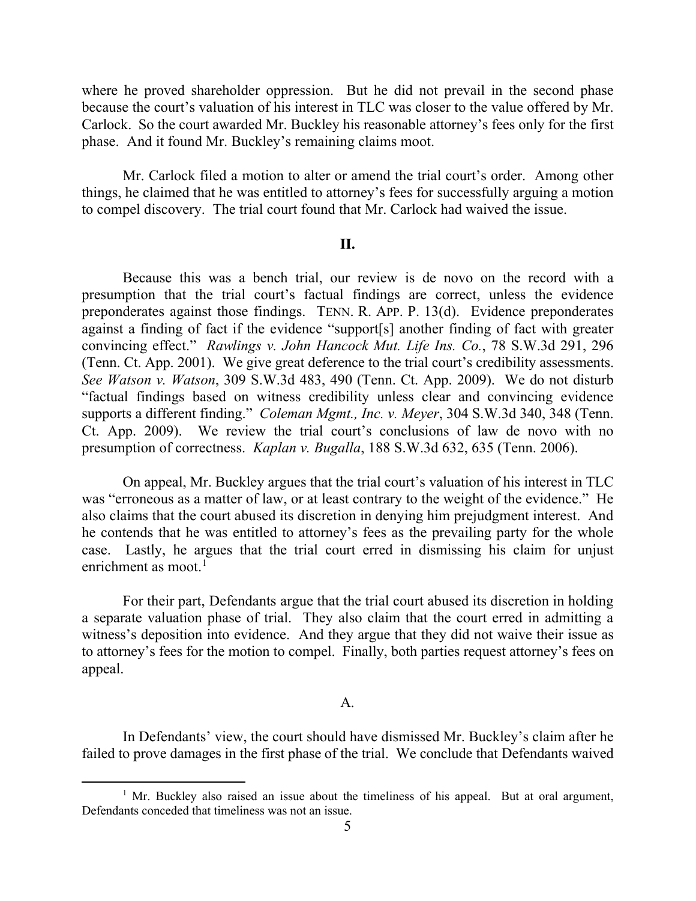where he proved shareholder oppression. But he did not prevail in the second phase because the court's valuation of his interest in TLC was closer to the value offered by Mr. Carlock. So the court awarded Mr. Buckley his reasonable attorney's fees only for the first phase. And it found Mr. Buckley's remaining claims moot.

Mr. Carlock filed a motion to alter or amend the trial court's order. Among other things, he claimed that he was entitled to attorney's fees for successfully arguing a motion to compel discovery. The trial court found that Mr. Carlock had waived the issue.

### **II.**

Because this was a bench trial, our review is de novo on the record with a presumption that the trial court's factual findings are correct, unless the evidence preponderates against those findings. TENN. R. APP. P. 13(d). Evidence preponderates against a finding of fact if the evidence "support[s] another finding of fact with greater convincing effect." *Rawlings v. John Hancock Mut. Life Ins. Co.*, 78 S.W.3d 291, 296 (Tenn. Ct. App. 2001). We give great deference to the trial court's credibility assessments. *See Watson v. Watson*, 309 S.W.3d 483, 490 (Tenn. Ct. App. 2009). We do not disturb "factual findings based on witness credibility unless clear and convincing evidence supports a different finding." *Coleman Mgmt., Inc. v. Meyer*, 304 S.W.3d 340, 348 (Tenn. Ct. App. 2009). We review the trial court's conclusions of law de novo with no presumption of correctness. *Kaplan v. Bugalla*, 188 S.W.3d 632, 635 (Tenn. 2006).

On appeal, Mr. Buckley argues that the trial court's valuation of his interest in TLC was "erroneous as a matter of law, or at least contrary to the weight of the evidence." He also claims that the court abused its discretion in denying him prejudgment interest. And he contends that he was entitled to attorney's fees as the prevailing party for the whole case. Lastly, he argues that the trial court erred in dismissing his claim for unjust enrichment as moot. $1$ 

For their part, Defendants argue that the trial court abused its discretion in holding a separate valuation phase of trial. They also claim that the court erred in admitting a witness's deposition into evidence. And they argue that they did not waive their issue as to attorney's fees for the motion to compel. Finally, both parties request attorney's fees on appeal.

#### A.

In Defendants' view, the court should have dismissed Mr. Buckley's claim after he failed to prove damages in the first phase of the trial. We conclude that Defendants waived

 $1$  Mr. Buckley also raised an issue about the timeliness of his appeal. But at oral argument, Defendants conceded that timeliness was not an issue.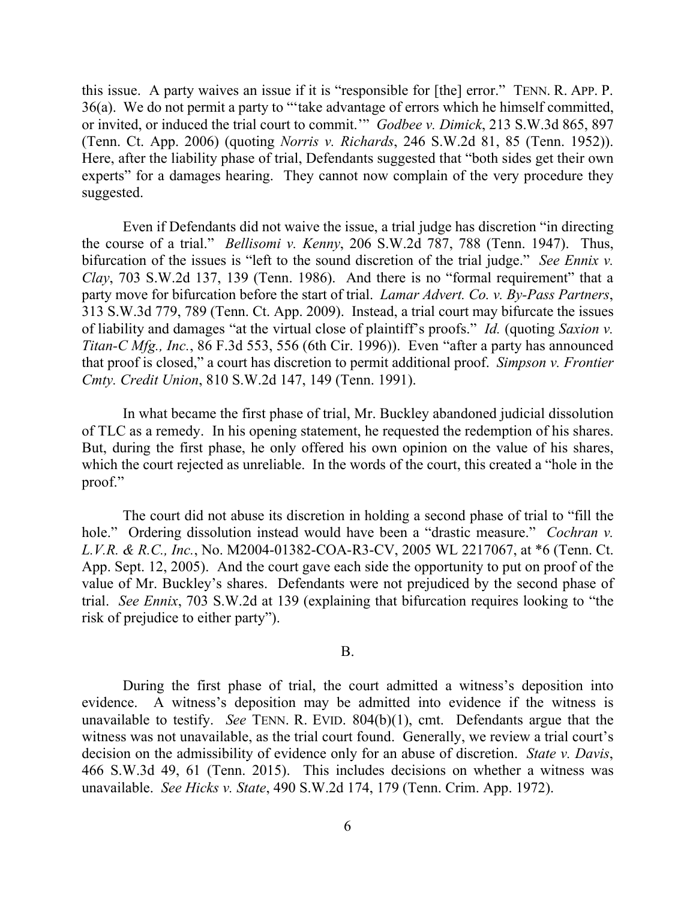this issue. A party waives an issue if it is "responsible for [the] error." TENN. R. APP. P. 36(a). We do not permit a party to "'take advantage of errors which he himself committed, or invited, or induced the trial court to commit.'" *Godbee v. Dimick*, 213 S.W.3d 865, 897 (Tenn. Ct. App. 2006) (quoting *Norris v. Richards*, 246 S.W.2d 81, 85 (Tenn. 1952)). Here, after the liability phase of trial, Defendants suggested that "both sides get their own experts" for a damages hearing. They cannot now complain of the very procedure they suggested.

Even if Defendants did not waive the issue, a trial judge has discretion "in directing the course of a trial." *Bellisomi v. Kenny*, 206 S.W.2d 787, 788 (Tenn. 1947). Thus, bifurcation of the issues is "left to the sound discretion of the trial judge." *See Ennix v. Clay*, 703 S.W.2d 137, 139 (Tenn. 1986). And there is no "formal requirement" that a party move for bifurcation before the start of trial. *Lamar Advert. Co. v. By-Pass Partners*, 313 S.W.3d 779, 789 (Tenn. Ct. App. 2009). Instead, a trial court may bifurcate the issues of liability and damages "at the virtual close of plaintiff's proofs." *Id.* (quoting *Saxion v. Titan-C Mfg., Inc.*, 86 F.3d 553, 556 (6th Cir. 1996)). Even "after a party has announced that proof is closed," a court has discretion to permit additional proof. *Simpson v. Frontier Cmty. Credit Union*, 810 S.W.2d 147, 149 (Tenn. 1991).

In what became the first phase of trial, Mr. Buckley abandoned judicial dissolution of TLC as a remedy. In his opening statement, he requested the redemption of his shares. But, during the first phase, he only offered his own opinion on the value of his shares, which the court rejected as unreliable. In the words of the court, this created a "hole in the proof."

The court did not abuse its discretion in holding a second phase of trial to "fill the hole." Ordering dissolution instead would have been a "drastic measure." *Cochran v. L.V.R. & R.C., Inc.*, No. M2004-01382-COA-R3-CV, 2005 WL 2217067, at \*6 (Tenn. Ct. App. Sept. 12, 2005). And the court gave each side the opportunity to put on proof of the value of Mr. Buckley's shares. Defendants were not prejudiced by the second phase of trial. *See Ennix*, 703 S.W.2d at 139 (explaining that bifurcation requires looking to "the risk of prejudice to either party").

#### B.

During the first phase of trial, the court admitted a witness's deposition into evidence. A witness's deposition may be admitted into evidence if the witness is unavailable to testify. *See* TENN. R. EVID. 804(b)(1), cmt. Defendants argue that the witness was not unavailable, as the trial court found. Generally, we review a trial court's decision on the admissibility of evidence only for an abuse of discretion. *State v. Davis*, 466 S.W.3d 49, 61 (Tenn. 2015). This includes decisions on whether a witness was unavailable. *See Hicks v. State*, 490 S.W.2d 174, 179 (Tenn. Crim. App. 1972).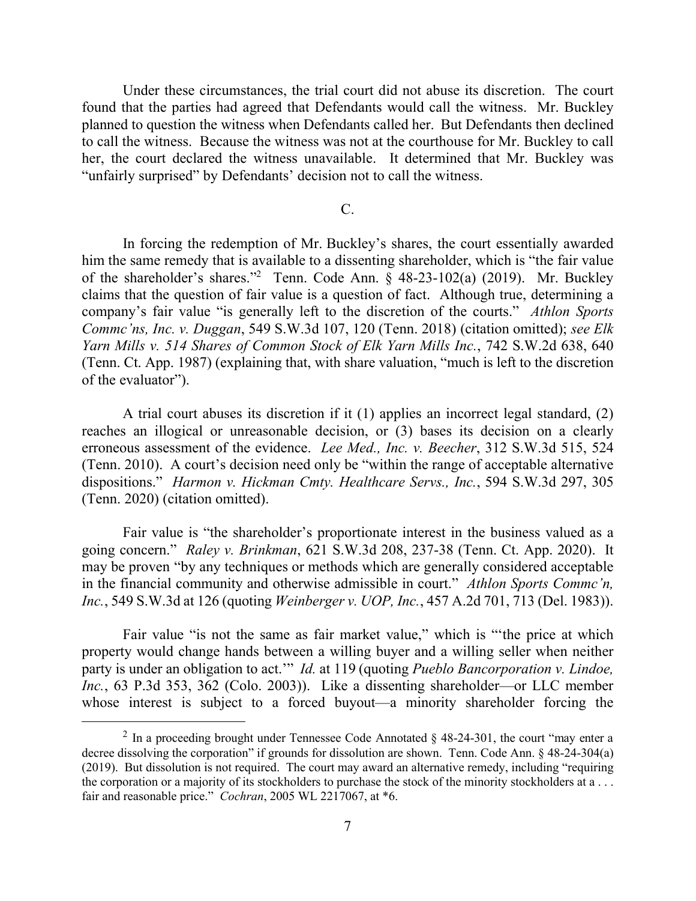Under these circumstances, the trial court did not abuse its discretion. The court found that the parties had agreed that Defendants would call the witness. Mr. Buckley planned to question the witness when Defendants called her. But Defendants then declined to call the witness. Because the witness was not at the courthouse for Mr. Buckley to call her, the court declared the witness unavailable. It determined that Mr. Buckley was "unfairly surprised" by Defendants' decision not to call the witness.

#### C.

In forcing the redemption of Mr. Buckley's shares, the court essentially awarded him the same remedy that is available to a dissenting shareholder, which is "the fair value of the shareholder's shares."<sup>2</sup> Tenn. Code Ann. § 48-23-102(a) (2019). Mr. Buckley claims that the question of fair value is a question of fact. Although true, determining a company's fair value "is generally left to the discretion of the courts." *Athlon Sports Commc'ns, Inc. v. Duggan*, 549 S.W.3d 107, 120 (Tenn. 2018) (citation omitted); *see Elk Yarn Mills v. 514 Shares of Common Stock of Elk Yarn Mills Inc.*, 742 S.W.2d 638, 640 (Tenn. Ct. App. 1987) (explaining that, with share valuation, "much is left to the discretion of the evaluator").

A trial court abuses its discretion if it (1) applies an incorrect legal standard, (2) reaches an illogical or unreasonable decision, or (3) bases its decision on a clearly erroneous assessment of the evidence. *Lee Med., Inc. v. Beecher*, 312 S.W.3d 515, 524 (Tenn. 2010). A court's decision need only be "within the range of acceptable alternative dispositions." *Harmon v. Hickman Cmty. Healthcare Servs., Inc.*, 594 S.W.3d 297, 305 (Tenn. 2020) (citation omitted).

Fair value is "the shareholder's proportionate interest in the business valued as a going concern." *Raley v. Brinkman*, 621 S.W.3d 208, 237-38 (Tenn. Ct. App. 2020). It may be proven "by any techniques or methods which are generally considered acceptable in the financial community and otherwise admissible in court." *Athlon Sports Commc'n, Inc.*, 549 S.W.3d at 126 (quoting *Weinberger v. UOP, Inc.*, 457 A.2d 701, 713 (Del. 1983)).

Fair value "is not the same as fair market value," which is "ʻthe price at which property would change hands between a willing buyer and a willing seller when neither party is under an obligation to act.'" *Id.* at 119 (quoting *Pueblo Bancorporation v. Lindoe, Inc.*, 63 P.3d 353, 362 (Colo. 2003)). Like a dissenting shareholder—or LLC member whose interest is subject to a forced buyout—a minority shareholder forcing the

 $\overline{a}$ 

<sup>&</sup>lt;sup>2</sup> In a proceeding brought under Tennessee Code Annotated § 48-24-301, the court "may enter a decree dissolving the corporation" if grounds for dissolution are shown. Tenn. Code Ann. § 48-24-304(a) (2019). But dissolution is not required. The court may award an alternative remedy, including "requiring the corporation or a majority of its stockholders to purchase the stock of the minority stockholders at a . . . fair and reasonable price." *Cochran*, 2005 WL 2217067, at \*6.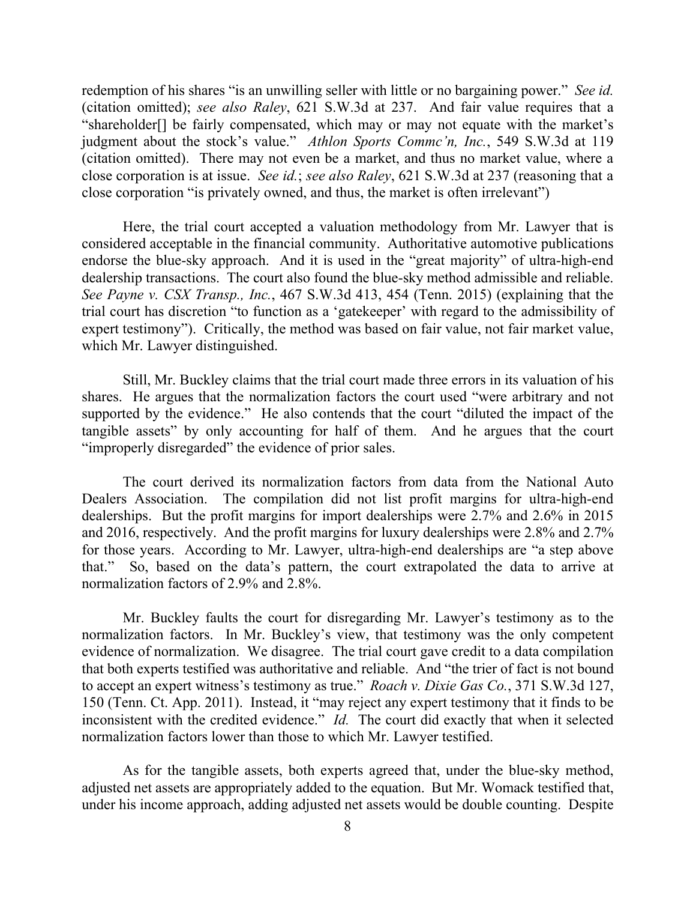redemption of his shares "is an unwilling seller with little or no bargaining power." *See id.* (citation omitted); *see also Raley*, 621 S.W.3d at 237. And fair value requires that a "shareholder[] be fairly compensated, which may or may not equate with the market's judgment about the stock's value." *Athlon Sports Commc'n, Inc.*, 549 S.W.3d at 119 (citation omitted). There may not even be a market, and thus no market value, where a close corporation is at issue. *See id.*; *see also Raley*, 621 S.W.3d at 237 (reasoning that a close corporation "is privately owned, and thus, the market is often irrelevant")

Here, the trial court accepted a valuation methodology from Mr. Lawyer that is considered acceptable in the financial community. Authoritative automotive publications endorse the blue-sky approach. And it is used in the "great majority" of ultra-high-end dealership transactions. The court also found the blue-sky method admissible and reliable. *See Payne v. CSX Transp., Inc.*, 467 S.W.3d 413, 454 (Tenn. 2015) (explaining that the trial court has discretion "to function as a 'gatekeeper' with regard to the admissibility of expert testimony"). Critically, the method was based on fair value, not fair market value, which Mr. Lawyer distinguished.

Still, Mr. Buckley claims that the trial court made three errors in its valuation of his shares. He argues that the normalization factors the court used "were arbitrary and not supported by the evidence." He also contends that the court "diluted the impact of the tangible assets" by only accounting for half of them. And he argues that the court "improperly disregarded" the evidence of prior sales.

The court derived its normalization factors from data from the National Auto Dealers Association. The compilation did not list profit margins for ultra-high-end dealerships. But the profit margins for import dealerships were 2.7% and 2.6% in 2015 and 2016, respectively. And the profit margins for luxury dealerships were 2.8% and 2.7% for those years. According to Mr. Lawyer, ultra-high-end dealerships are "a step above that." So, based on the data's pattern, the court extrapolated the data to arrive at normalization factors of 2.9% and 2.8%.

Mr. Buckley faults the court for disregarding Mr. Lawyer's testimony as to the normalization factors. In Mr. Buckley's view, that testimony was the only competent evidence of normalization. We disagree. The trial court gave credit to a data compilation that both experts testified was authoritative and reliable. And "the trier of fact is not bound to accept an expert witness's testimony as true." *Roach v. Dixie Gas Co.*, 371 S.W.3d 127, 150 (Tenn. Ct. App. 2011). Instead, it "may reject any expert testimony that it finds to be inconsistent with the credited evidence." *Id.* The court did exactly that when it selected normalization factors lower than those to which Mr. Lawyer testified.

As for the tangible assets, both experts agreed that, under the blue-sky method, adjusted net assets are appropriately added to the equation. But Mr. Womack testified that, under his income approach, adding adjusted net assets would be double counting. Despite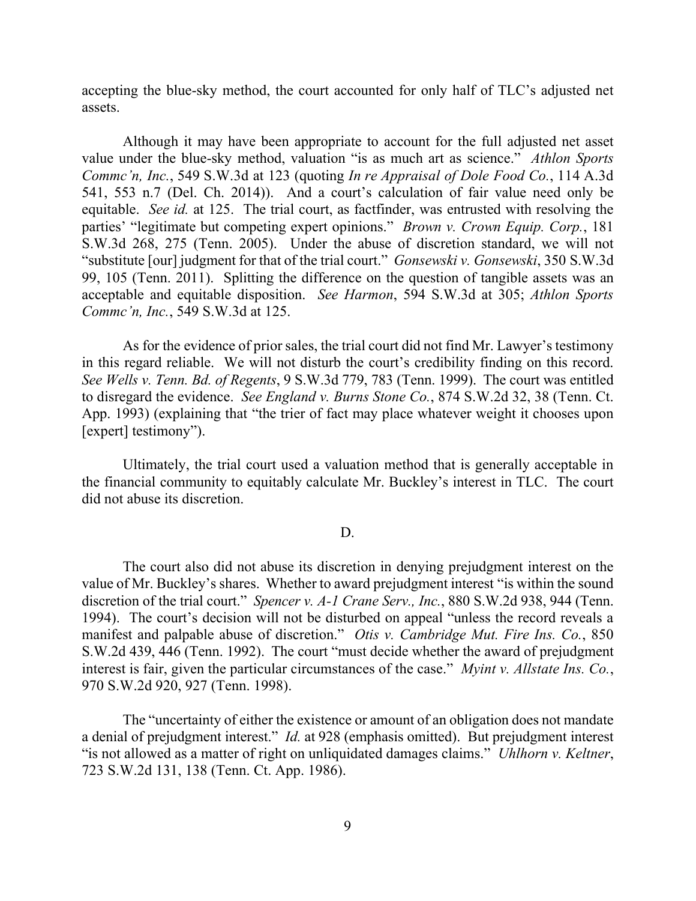accepting the blue-sky method, the court accounted for only half of TLC's adjusted net assets.

Although it may have been appropriate to account for the full adjusted net asset value under the blue-sky method, valuation "is as much art as science." *Athlon Sports Commc'n, Inc.*, 549 S.W.3d at 123 (quoting *In re Appraisal of Dole Food Co.*, 114 A.3d 541, 553 n.7 (Del. Ch. 2014)). And a court's calculation of fair value need only be equitable. *See id.* at 125. The trial court, as factfinder, was entrusted with resolving the parties' "legitimate but competing expert opinions." *Brown v. Crown Equip. Corp.*, 181 S.W.3d 268, 275 (Tenn. 2005). Under the abuse of discretion standard, we will not "substitute [our] judgment for that of the trial court." *Gonsewski v. Gonsewski*, 350 S.W.3d 99, 105 (Tenn. 2011). Splitting the difference on the question of tangible assets was an acceptable and equitable disposition. *See Harmon*, 594 S.W.3d at 305; *Athlon Sports Commc'n, Inc.*, 549 S.W.3d at 125.

As for the evidence of prior sales, the trial court did not find Mr. Lawyer's testimony in this regard reliable. We will not disturb the court's credibility finding on this record. *See Wells v. Tenn. Bd. of Regents*, 9 S.W.3d 779, 783 (Tenn. 1999). The court was entitled to disregard the evidence. *See England v. Burns Stone Co.*, 874 S.W.2d 32, 38 (Tenn. Ct. App. 1993) (explaining that "the trier of fact may place whatever weight it chooses upon [expert] testimony").

Ultimately, the trial court used a valuation method that is generally acceptable in the financial community to equitably calculate Mr. Buckley's interest in TLC. The court did not abuse its discretion.

#### D.

The court also did not abuse its discretion in denying prejudgment interest on the value of Mr. Buckley's shares. Whether to award prejudgment interest "is within the sound discretion of the trial court." *Spencer v. A-1 Crane Serv., Inc.*, 880 S.W.2d 938, 944 (Tenn. 1994). The court's decision will not be disturbed on appeal "unless the record reveals a manifest and palpable abuse of discretion." *Otis v. Cambridge Mut. Fire Ins. Co.*, 850 S.W.2d 439, 446 (Tenn. 1992). The court "must decide whether the award of prejudgment interest is fair, given the particular circumstances of the case." *Myint v. Allstate Ins. Co.*, 970 S.W.2d 920, 927 (Tenn. 1998).

The "uncertainty of either the existence or amount of an obligation does not mandate a denial of prejudgment interest." *Id.* at 928 (emphasis omitted). But prejudgment interest "is not allowed as a matter of right on unliquidated damages claims." *Uhlhorn v. Keltner*, 723 S.W.2d 131, 138 (Tenn. Ct. App. 1986).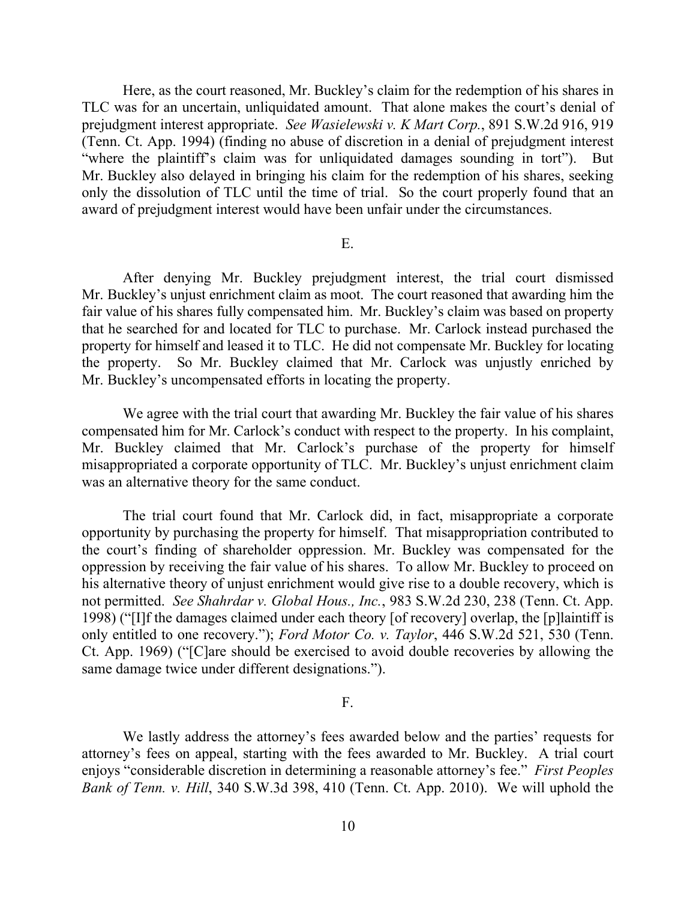Here, as the court reasoned, Mr. Buckley's claim for the redemption of his shares in TLC was for an uncertain, unliquidated amount. That alone makes the court's denial of prejudgment interest appropriate. *See Wasielewski v. K Mart Corp.*, 891 S.W.2d 916, 919 (Tenn. Ct. App. 1994) (finding no abuse of discretion in a denial of prejudgment interest "where the plaintiff's claim was for unliquidated damages sounding in tort"). But Mr. Buckley also delayed in bringing his claim for the redemption of his shares, seeking only the dissolution of TLC until the time of trial. So the court properly found that an award of prejudgment interest would have been unfair under the circumstances.

### E.

After denying Mr. Buckley prejudgment interest, the trial court dismissed Mr. Buckley's unjust enrichment claim as moot. The court reasoned that awarding him the fair value of his shares fully compensated him. Mr. Buckley's claim was based on property that he searched for and located for TLC to purchase. Mr. Carlock instead purchased the property for himself and leased it to TLC. He did not compensate Mr. Buckley for locating the property. So Mr. Buckley claimed that Mr. Carlock was unjustly enriched by Mr. Buckley's uncompensated efforts in locating the property.

We agree with the trial court that awarding Mr. Buckley the fair value of his shares compensated him for Mr. Carlock's conduct with respect to the property. In his complaint, Mr. Buckley claimed that Mr. Carlock's purchase of the property for himself misappropriated a corporate opportunity of TLC. Mr. Buckley's unjust enrichment claim was an alternative theory for the same conduct.

The trial court found that Mr. Carlock did, in fact, misappropriate a corporate opportunity by purchasing the property for himself. That misappropriation contributed to the court's finding of shareholder oppression. Mr. Buckley was compensated for the oppression by receiving the fair value of his shares. To allow Mr. Buckley to proceed on his alternative theory of unjust enrichment would give rise to a double recovery, which is not permitted. *See Shahrdar v. Global Hous., Inc.*, 983 S.W.2d 230, 238 (Tenn. Ct. App. 1998) ("[I]f the damages claimed under each theory [of recovery] overlap, the [p]laintiff is only entitled to one recovery."); *Ford Motor Co. v. Taylor*, 446 S.W.2d 521, 530 (Tenn. Ct. App. 1969) ("[C]are should be exercised to avoid double recoveries by allowing the same damage twice under different designations.").

## F.

We lastly address the attorney's fees awarded below and the parties' requests for attorney's fees on appeal, starting with the fees awarded to Mr. Buckley. A trial court enjoys "considerable discretion in determining a reasonable attorney's fee." *First Peoples Bank of Tenn. v. Hill*, 340 S.W.3d 398, 410 (Tenn. Ct. App. 2010). We will uphold the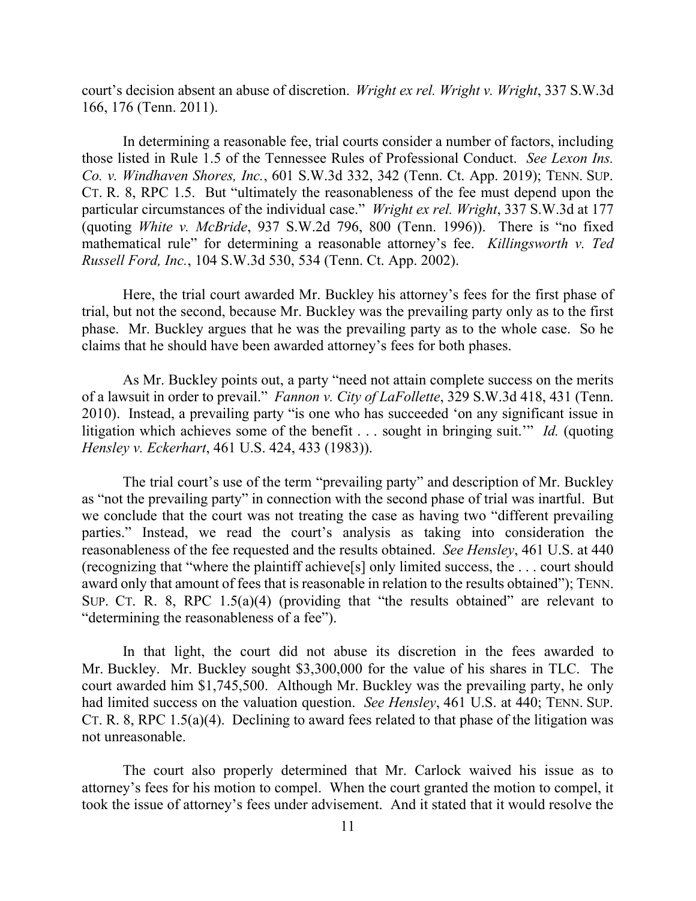court's decision absent an abuse of discretion. *Wright ex rel. Wright v. Wright*, 337 S.W.3d 166, 176 (Tenn. 2011).

In determining a reasonable fee, trial courts consider a number of factors, including those listed in Rule 1.5 of the Tennessee Rules of Professional Conduct. *See Lexon Ins. Co. v. Windhaven Shores, Inc.*, 601 S.W.3d 332, 342 (Tenn. Ct. App. 2019); TENN. SUP. CT. R. 8, RPC 1.5. But "ultimately the reasonableness of the fee must depend upon the particular circumstances of the individual case." *Wright ex rel. Wright*, 337 S.W.3d at 177 (quoting *White v. McBride*, 937 S.W.2d 796, 800 (Tenn. 1996)).There is "no fixed mathematical rule" for determining a reasonable attorney's fee. *Killingsworth v. Ted Russell Ford, Inc.*, 104 S.W.3d 530, 534 (Tenn. Ct. App. 2002).

Here, the trial court awarded Mr. Buckley his attorney's fees for the first phase of trial, but not the second, because Mr. Buckley was the prevailing party only as to the first phase. Mr. Buckley argues that he was the prevailing party as to the whole case. So he claims that he should have been awarded attorney's fees for both phases.

As Mr. Buckley points out, a party "need not attain complete success on the merits of a lawsuit in order to prevail." *Fannon v. City of LaFollette*, 329 S.W.3d 418, 431 (Tenn. 2010). Instead, a prevailing party "is one who has succeeded 'on any significant issue in litigation which achieves some of the benefit . . . sought in bringing suit.'" *Id.* (quoting *Hensley v. Eckerhart*, 461 U.S. 424, 433 (1983)).

The trial court's use of the term "prevailing party" and description of Mr. Buckley as "not the prevailing party" in connection with the second phase of trial was inartful. But we conclude that the court was not treating the case as having two "different prevailing parties." Instead, we read the court's analysis as taking into consideration the reasonableness of the fee requested and the results obtained. *See Hensley*, 461 U.S. at 440 (recognizing that "where the plaintiff achieve[s] only limited success, the . . . court should award only that amount of fees that is reasonable in relation to the results obtained"); TENN. SUP. CT. R. 8, RPC 1.5(a)(4) (providing that "the results obtained" are relevant to "determining the reasonableness of a fee").

In that light, the court did not abuse its discretion in the fees awarded to Mr. Buckley. Mr. Buckley sought \$3,300,000 for the value of his shares in TLC. The court awarded him \$1,745,500. Although Mr. Buckley was the prevailing party, he only had limited success on the valuation question. *See Hensley*, 461 U.S. at 440; TENN. SUP. CT. R. 8, RPC 1.5(a)(4). Declining to award fees related to that phase of the litigation was not unreasonable.

The court also properly determined that Mr. Carlock waived his issue as to attorney's fees for his motion to compel. When the court granted the motion to compel, it took the issue of attorney's fees under advisement. And it stated that it would resolve the